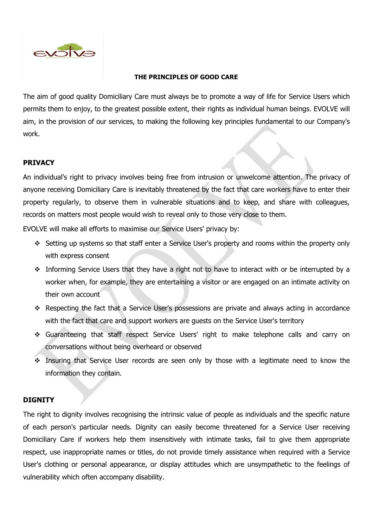

## **THE PRINCIPLES OF GOOD CARE**

The aim of good quality Domiciliary Care must always be to promote a way of life for Service Users which permits them to enjoy, to the greatest possible extent, their rights as individual human beings. EVOLVE will aim, in the provision of our services, to making the following key principles fundamental to our Company's work.

# **PRIVACY**

An individual's right to privacy involves being free from intrusion or unwelcome attention. The privacy of anyone receiving Domiciliary Care is inevitably threatened by the fact that care workers have to enter their property regularly, to observe them in vulnerable situations and to keep, and share with colleagues, records on matters most people would wish to reveal only to those very close to them.

EVOLVE will make all efforts to maximise our Service Users' privacy by:

- ❖ Setting up systems so that staff enter a Service User's property and rooms within the property only with express consent
- ❖ Informing Service Users that they have a right not to have to interact with or be interrupted by a worker when, for example, they are entertaining a visitor or are engaged on an intimate activity on their own account
- ❖ Respecting the fact that a Service User's possessions are private and always acting in accordance with the fact that care and support workers are guests on the Service User's territory
- ❖ Guaranteeing that staff respect Service Users' right to make telephone calls and carry on conversations without being overheard or observed
- ❖ Insuring that Service User records are seen only by those with a legitimate need to know the information they contain.

# **DIGNITY**

The right to dignity involves recognising the intrinsic value of people as individuals and the specific nature of each person's particular needs. Dignity can easily become threatened for a Service User receiving Domiciliary Care if workers help them insensitively with intimate tasks, fail to give them appropriate respect, use inappropriate names or titles, do not provide timely assistance when required with a Service User's clothing or personal appearance, or display attitudes which are unsympathetic to the feelings of vulnerability which often accompany disability.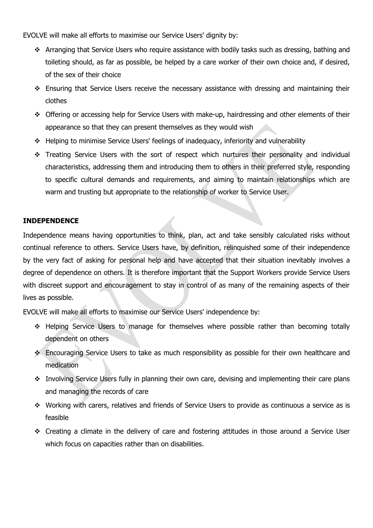EVOLVE will make all efforts to maximise our Service Users' dignity by:

- ❖ Arranging that Service Users who require assistance with bodily tasks such as dressing, bathing and toileting should, as far as possible, be helped by a care worker of their own choice and, if desired, of the sex of their choice
- ❖ Ensuring that Service Users receive the necessary assistance with dressing and maintaining their clothes
- ❖ Offering or accessing help for Service Users with make-up, hairdressing and other elements of their appearance so that they can present themselves as they would wish
- ❖ Helping to minimise Service Users' feelings of inadequacy, inferiority and vulnerability
- ❖ Treating Service Users with the sort of respect which nurtures their personality and individual characteristics, addressing them and introducing them to others in their preferred style, responding to specific cultural demands and requirements, and aiming to maintain relationships which are warm and trusting but appropriate to the relationship of worker to Service User.

# **INDEPENDENCE**

Independence means having opportunities to think, plan, act and take sensibly calculated risks without continual reference to others. Service Users have, by definition, relinquished some of their independence by the very fact of asking for personal help and have accepted that their situation inevitably involves a degree of dependence on others. It is therefore important that the Support Workers provide Service Users with discreet support and encouragement to stay in control of as many of the remaining aspects of their lives as possible.

EVOLVE will make all efforts to maximise our Service Users' independence by:

- ❖ Helping Service Users to manage for themselves where possible rather than becoming totally dependent on others
- ❖ Encouraging Service Users to take as much responsibility as possible for their own healthcare and medication
- ❖ Involving Service Users fully in planning their own care, devising and implementing their care plans and managing the records of care
- ❖ Working with carers, relatives and friends of Service Users to provide as continuous a service as is feasible
- ❖ Creating a climate in the delivery of care and fostering attitudes in those around a Service User which focus on capacities rather than on disabilities.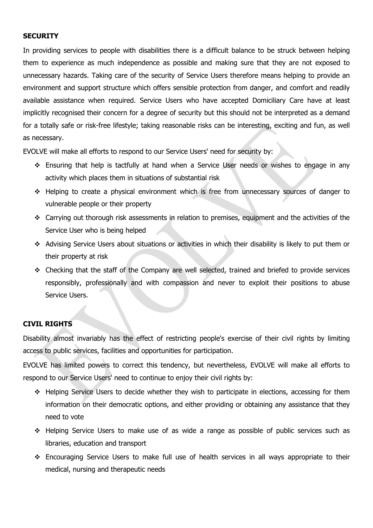# **SECURITY**

In providing services to people with disabilities there is a difficult balance to be struck between helping them to experience as much independence as possible and making sure that they are not exposed to unnecessary hazards. Taking care of the security of Service Users therefore means helping to provide an environment and support structure which offers sensible protection from danger, and comfort and readily available assistance when required. Service Users who have accepted Domiciliary Care have at least implicitly recognised their concern for a degree of security but this should not be interpreted as a demand for a totally safe or risk-free lifestyle; taking reasonable risks can be interesting, exciting and fun, as well as necessary.

EVOLVE will make all efforts to respond to our Service Users' need for security by:

- ❖ Ensuring that help is tactfully at hand when a Service User needs or wishes to engage in any activity which places them in situations of substantial risk
- ❖ Helping to create a physical environment which is free from unnecessary sources of danger to vulnerable people or their property
- ❖ Carrying out thorough risk assessments in relation to premises, equipment and the activities of the Service User who is being helped
- ❖ Advising Service Users about situations or activities in which their disability is likely to put them or their property at risk
- ❖ Checking that the staff of the Company are well selected, trained and briefed to provide services responsibly, professionally and with compassion and never to exploit their positions to abuse Service Users.

# **CIVIL RIGHTS**

Disability almost invariably has the effect of restricting people's exercise of their civil rights by limiting access to public services, facilities and opportunities for participation.

EVOLVE has limited powers to correct this tendency, but nevertheless, EVOLVE will make all efforts to respond to our Service Users' need to continue to enjoy their civil rights by:

- ❖ Helping Service Users to decide whether they wish to participate in elections, accessing for them information on their democratic options, and either providing or obtaining any assistance that they need to vote
- ❖ Helping Service Users to make use of as wide a range as possible of public services such as libraries, education and transport
- ❖ Encouraging Service Users to make full use of health services in all ways appropriate to their medical, nursing and therapeutic needs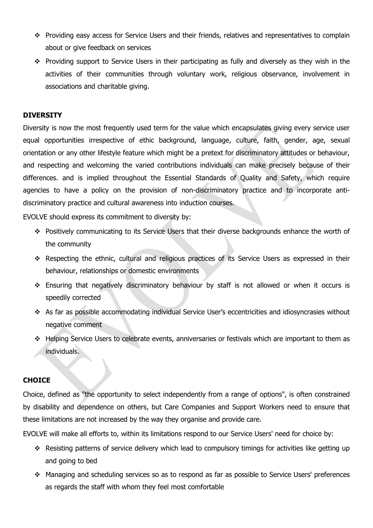- ❖ Providing easy access for Service Users and their friends, relatives and representatives to complain about or give feedback on services
- ❖ Providing support to Service Users in their participating as fully and diversely as they wish in the activities of their communities through voluntary work, religious observance, involvement in associations and charitable giving.

## **DIVERSITY**

Diversity is now the most frequently used term for the value which encapsulates giving every service user equal opportunities irrespective of ethic background, language, culture, faith, gender, age, sexual orientation or any other lifestyle feature which might be a pretext for discriminatory attitudes or behaviour, and respecting and welcoming the varied contributions individuals can make precisely because of their differences. and is implied throughout the Essential Standards of Quality and Safety, which require agencies to have a policy on the provision of non-discriminatory practice and to incorporate antidiscriminatory practice and cultural awareness into induction courses.

EVOLVE should express its commitment to diversity by:

- ❖ Positively communicating to its Service Users that their diverse backgrounds enhance the worth of the community
- ❖ Respecting the ethnic, cultural and religious practices of its Service Users as expressed in their behaviour, relationships or domestic environments
- ❖ Ensuring that negatively discriminatory behaviour by staff is not allowed or when it occurs is speedily corrected
- ❖ As far as possible accommodating individual Service User's eccentricities and idiosyncrasies without negative comment
- ❖ Helping Service Users to celebrate events, anniversaries or festivals which are important to them as individuals.

## **CHOICE**

Choice, defined as "the opportunity to select independently from a range of options", is often constrained by disability and dependence on others, but Care Companies and Support Workers need to ensure that these limitations are not increased by the way they organise and provide care.

EVOLVE will make all efforts to, within its limitations respond to our Service Users' need for choice by:

- ❖ Resisting patterns of service delivery which lead to compulsory timings for activities like getting up and going to bed
- ❖ Managing and scheduling services so as to respond as far as possible to Service Users' preferences as regards the staff with whom they feel most comfortable